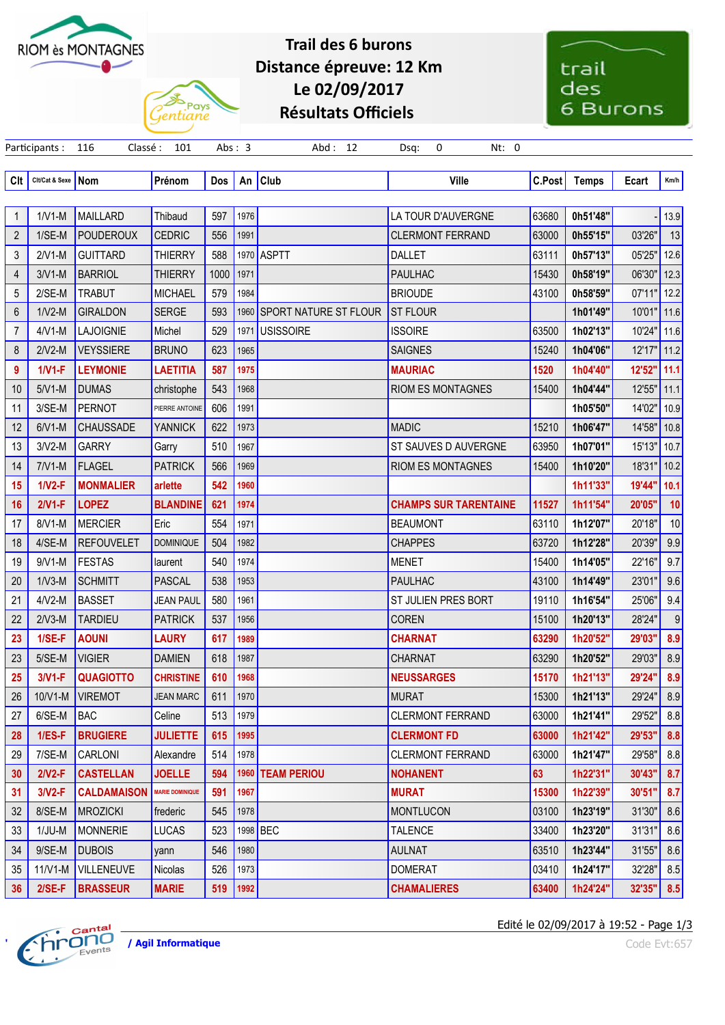

X

Pays entiane

## Trail des 6 burons Distance épreuve: 12 Km Le 02/09/2017 Résultats Officiels



|                | Participants:        | 116<br>Classé:     | 101                    |      | Abs: $3$ | Abd: 12                    | Nt: 0<br>Dsq:<br>0           |        |              |        |                  |
|----------------|----------------------|--------------------|------------------------|------|----------|----------------------------|------------------------------|--------|--------------|--------|------------------|
| Clt            | Cit/Cat & Sexe   Nom |                    | Prénom                 | Dos  |          | An $ $ Club                | <b>Ville</b>                 | C.Post | <b>Temps</b> | Ecart  | Km/h             |
|                |                      |                    |                        |      |          |                            |                              |        |              |        |                  |
| 1              | $1/V1-M$             | <b>MAILLARD</b>    | Thibaud                | 597  | 1976     |                            | LA TOUR D'AUVERGNE           | 63680  | 0h51'48"     |        | 13.9             |
| 2              | $1/SE-M$             | <b>POUDEROUX</b>   | <b>CEDRIC</b>          | 556  | 1991     |                            | <b>CLERMONT FERRAND</b>      | 63000  | 0h55'15"     | 03'26" | 13               |
| 3              | $2/V1-M$             | <b>GUITTARD</b>    | <b>THIERRY</b>         | 588  |          | 1970 ASPTT                 | <b>DALLET</b>                | 63111  | 0h57'13"     | 05'25" | 12.6             |
| 4              | $3/V1-M$             | <b>BARRIOL</b>     | <b>THIERRY</b>         | 1000 | 1971     |                            | <b>PAULHAC</b>               | 15430  | 0h58'19"     | 06'30" | 12.3             |
| 5              | $2/SE-M$             | <b>TRABUT</b>      | <b>MICHAEL</b>         | 579  | 1984     |                            | <b>BRIOUDE</b>               | 43100  | 0h58'59"     | 07'11" | 12.2             |
| 6              | $1/V2-M$             | <b>GIRALDON</b>    | <b>SERGE</b>           | 593  |          | 1960 SPORT NATURE ST FLOUR | <b>ST FLOUR</b>              |        | 1h01'49"     | 10'01" | 11.6             |
| $\overline{7}$ | $4/V1-M$             | LAJOIGNIE          | Michel                 | 529  | 1971     | <b>USISSOIRE</b>           | <b>ISSOIRE</b>               | 63500  | 1h02'13"     | 10'24" | 11.6             |
| 8              | $2/V2-M$             | <b>VEYSSIERE</b>   | <b>BRUNO</b>           | 623  | 1965     |                            | <b>SAIGNES</b>               | 15240  | 1h04'06"     | 12'17" | 11.2             |
| 9              | $1/V1-F$             | <b>LEYMONIE</b>    | LAETITIA               | 587  | 1975     |                            | <b>MAURIAC</b>               | 1520   | 1h04'40"     | 12'52" | 11.1             |
| 10             | $5/V1-M$             | <b>DUMAS</b>       | christophe             | 543  | 1968     |                            | <b>RIOM ES MONTAGNES</b>     | 15400  | 1h04'44"     | 12'55" | 11.1             |
| 11             | 3/SE-M               | <b>PERNOT</b>      | PIERRE ANTOINE         | 606  | 1991     |                            |                              |        | 1h05'50"     | 14'02" | 10.9             |
| 12             | $6/V1-M$             | <b>CHAUSSADE</b>   | <b>YANNICK</b>         | 622  | 1973     |                            | <b>MADIC</b>                 | 15210  | 1h06'47"     | 14'58" | 10.8             |
| 13             | $3/V2-M$             | <b>GARRY</b>       | Garry                  | 510  | 1967     |                            | ST SAUVES D AUVERGNE         | 63950  | 1h07'01"     | 15'13" | 10.7             |
| 14             | $7/V1-M$             | <b>FLAGEL</b>      | <b>PATRICK</b>         | 566  | 1969     |                            | <b>RIOM ES MONTAGNES</b>     | 15400  | 1h10'20"     | 18'31" | 10.2             |
| 15             | $1/N2-F$             | <b>MONMALIER</b>   | arlette                | 542  | 1960     |                            |                              |        | 1h11'33"     | 19'44" | 10.1             |
| 16             | $2/V1-F$             | <b>LOPEZ</b>       | <b>BLANDINE</b>        | 621  | 1974     |                            | <b>CHAMPS SUR TARENTAINE</b> | 11527  | 1h11'54"     | 20'05" | 10               |
| 17             | 8/V1-M               | <b>MERCIER</b>     | Eric                   | 554  | 1971     |                            | <b>BEAUMONT</b>              | 63110  | 1h12'07"     | 20'18" | 10               |
| 18             | 4/SE-M               | <b>REFOUVELET</b>  | <b>DOMINIQUE</b>       | 504  | 1982     |                            | <b>CHAPPES</b>               | 63720  | 1h12'28"     | 20'39" | 9.9              |
| 19             | $9/V1-M$             | <b>FESTAS</b>      | laurent                | 540  | 1974     |                            | <b>MENET</b>                 | 15400  | 1h14'05"     | 22'16" | 9.7              |
| 20             | $1/V3-M$             | <b>SCHMITT</b>     | <b>PASCAL</b>          | 538  | 1953     |                            | <b>PAULHAC</b>               | 43100  | 1h14'49"     | 23'01" | 9.6              |
| 21             | $4/V2-M$             | <b>BASSET</b>      | <b>JEAN PAUL</b>       | 580  | 1961     |                            | ST JULIEN PRES BORT          | 19110  | 1h16'54"     | 25'06" | 9.4              |
| 22             | $2/V3-M$             | <b>TARDIEU</b>     | <b>PATRICK</b>         | 537  | 1956     |                            | <b>COREN</b>                 | 15100  | 1h20'13"     | 28'24" | $\boldsymbol{9}$ |
| 23             | $1/SE-F$             | <b>AOUNI</b>       | <b>LAURY</b>           | 617  | 1989     |                            | <b>CHARNAT</b>               | 63290  | 1h20'52"     | 29'03" | 8.9              |
| 23             | $5/SE-M$             | <b>VIGIER</b>      | <b>DAMIEN</b>          | 618  | 1987     |                            | <b>CHARNAT</b>               | 63290  | 1h20'52"     | 29'03" | 8.9              |
| 25             | $3/V1-F$             | <b>QUAGIOTTO</b>   | <b>CHRISTINE</b>       | 610  | 1968     |                            | <b>NEUSSARGES</b>            | 15170  | 1h21'13"     | 29'24" | 8.9              |
| 26             |                      | 10/V1-M VIREMOT    | <b>JEAN MARC</b>       | 611  | 1970     |                            | <b>MURAT</b>                 | 15300  | 1h21'13"     | 29'24" | 8.9              |
| 27             | $6/SE-M$             | <b>BAC</b>         | Celine                 | 513  | 1979     |                            | <b>CLERMONT FERRAND</b>      | 63000  | 1h21'41"     | 29'52" | 8.8              |
| 28             | $1/ES-F$             | <b>BRUGIERE</b>    | <b>JULIETTE</b>        | 615  | 1995     |                            | <b>CLERMONT FD</b>           | 63000  | 1h21'42"     | 29'53" | 8.8              |
| 29             | 7/SE-M               | CARLONI            | Alexandre              | 514  | 1978     |                            | <b>CLERMONT FERRAND</b>      | 63000  | 1h21'47"     | 29'58" | 8.8              |
| 30             | $2/V2-F$             | <b>CASTELLAN</b>   | <b>JOELLE</b>          | 594  |          | 1960   TEAM PERIOU         | <b>NOHANENT</b>              | 63     | 1h22'31"     | 30'43" | 8.7              |
| 31             | $3/N2-F$             | <b>CALDAMAISON</b> | <b>MARIE DOMINIQUE</b> | 591  | 1967     |                            | <b>MURAT</b>                 | 15300  | 1h22'39"     | 30'51" | 8.7              |
| 32             | 8/SE-M               | <b>MROZICKI</b>    | frederic               | 545  | 1978     |                            | <b>MONTLUCON</b>             | 03100  | 1h23'19"     | 31'30" | 8.6              |
| 33             | $1/JU-M$             | <b>MONNERIE</b>    | LUCAS                  | 523  |          | 1998 BEC                   | <b>TALENCE</b>               | 33400  | 1h23'20"     | 31'31" | 8.6              |
| 34             | $9/SE-M$             | <b>DUBOIS</b>      | yann                   | 546  | 1980     |                            | <b>AULNAT</b>                | 63510  | 1h23'44"     | 31'55" | 8.6              |
| 35             | $11/V1-M$            | <b>VILLENEUVE</b>  | Nicolas                | 526  | 1973     |                            | <b>DOMERAT</b>               | 03410  | 1h24'17"     | 32'28" | 8.5              |
| 36             | $2/SE-F$             | <b>BRASSEUR</b>    | <b>MARIE</b>           | 519  | 1992     |                            | <b>CHAMALIERES</b>           | 63400  | 1h24'24"     | 32'35" | 8.5              |



Edité le 02/09/2017 à 19:52 - Page 1/3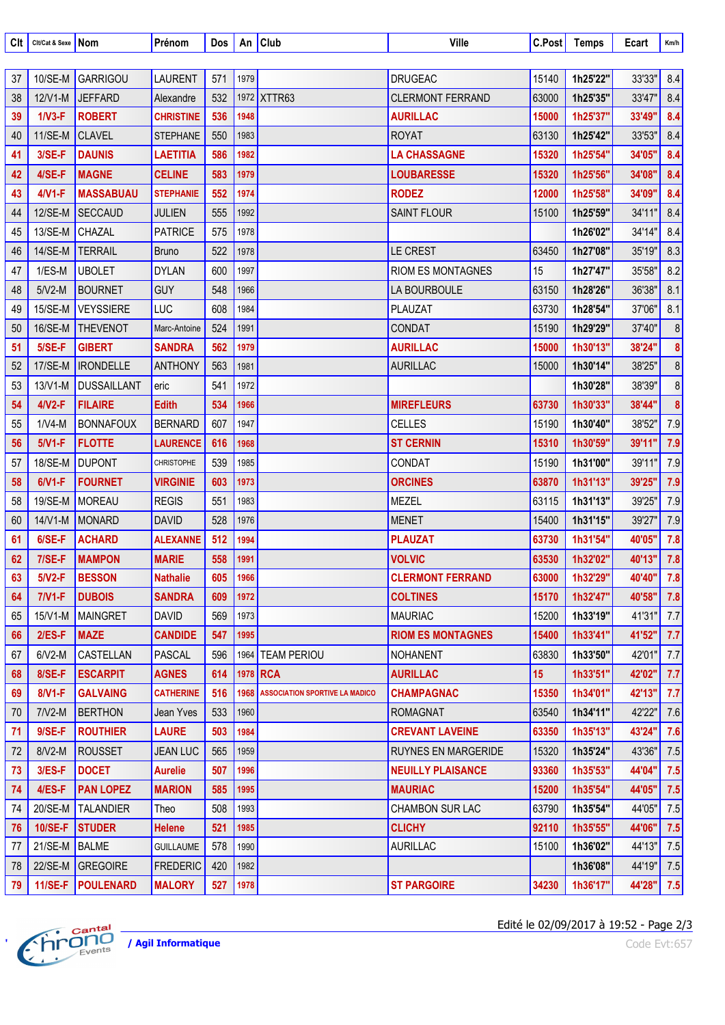| Clt | Cit/Cat & Sexe   Nom |                   | Prénom            | Dos | An   | <b>Club</b>                           | <b>Ville</b>               | C.Post | <b>Temps</b> | Ecart  | Km/h    |
|-----|----------------------|-------------------|-------------------|-----|------|---------------------------------------|----------------------------|--------|--------------|--------|---------|
|     |                      |                   |                   |     |      |                                       |                            |        |              |        |         |
| 37  | 10/SE-M              | GARRIGOU          | <b>LAURENT</b>    | 571 | 1979 |                                       | <b>DRUGEAC</b>             | 15140  | 1h25'22"     | 33'33" | 8.4     |
| 38  | $12/V1-M$            | <b>JEFFARD</b>    | Alexandre         | 532 |      | 1972 XTTR63                           | <b>CLERMONT FERRAND</b>    | 63000  | 1h25'35"     | 33'47" | 8.4     |
| 39  | $1/V3-F$             | <b>ROBERT</b>     | <b>CHRISTINE</b>  | 536 | 1948 |                                       | <b>AURILLAC</b>            | 15000  | 1h25'37"     | 33'49" | 8.4     |
| 40  | <b>11/SE-M</b>       | <b>CLAVEL</b>     | <b>STEPHANE</b>   | 550 | 1983 |                                       | <b>ROYAT</b>               | 63130  | 1h25'42"     | 33'53" | 8.4     |
| 41  | $3/SE-F$             | <b>DAUNIS</b>     | <b>LAETITIA</b>   | 586 | 1982 |                                       | <b>LA CHASSAGNE</b>        | 15320  | 1h25'54"     | 34'05" | 8.4     |
| 42  | $4/SE-F$             | <b>MAGNE</b>      | <b>CELINE</b>     | 583 | 1979 |                                       | <b>LOUBARESSE</b>          | 15320  | 1h25'56"     | 34'08" | 8.4     |
| 43  | $4/V1-F$             | <b>MASSABUAU</b>  | <b>STEPHANIE</b>  | 552 | 1974 |                                       | <b>RODEZ</b>               | 12000  | 1h25'58"     | 34'09" | 8.4     |
| 44  | 12/SE-M              | SECCAUD           | <b>JULIEN</b>     | 555 | 1992 |                                       | <b>SAINT FLOUR</b>         | 15100  | 1h25'59"     | 34'11" | 8.4     |
| 45  | 13/SE-M              | CHAZAL            | <b>PATRICE</b>    | 575 | 1978 |                                       |                            |        | 1h26'02"     | 34'14" | 8.4     |
| 46  | 14/SE-M              | <b>TERRAIL</b>    | <b>Bruno</b>      | 522 | 1978 |                                       | <b>LE CREST</b>            | 63450  | 1h27'08"     | 35'19" | 8.3     |
| 47  | $1/ES-M$             | <b>UBOLET</b>     | <b>DYLAN</b>      | 600 | 1997 |                                       | <b>RIOM ES MONTAGNES</b>   | 15     | 1h27'47"     | 35'58" | 8.2     |
| 48  | $5/V2-M$             | <b>BOURNET</b>    | <b>GUY</b>        | 548 | 1966 |                                       | LA BOURBOULE               | 63150  | 1h28'26"     | 36'38" | 8.1     |
| 49  | 15/SE-M              | VEYSSIERE         | LUC               | 608 | 1984 |                                       | <b>PLAUZAT</b>             | 63730  | 1h28'54"     | 37'06" | 8.1     |
| 50  | 16/SE-M              | <b>THEVENOT</b>   | Marc-Antoine      | 524 | 1991 |                                       | <b>CONDAT</b>              | 15190  | 1h29'29"     | 37'40" | $\, 8$  |
| 51  | $5/SE-F$             | <b>GIBERT</b>     | <b>SANDRA</b>     | 562 | 1979 |                                       | <b>AURILLAC</b>            | 15000  | 1h30'13"     | 38'24" | 8       |
| 52  | 17/SE-M              | <b>IRONDELLE</b>  | <b>ANTHONY</b>    | 563 | 1981 |                                       | <b>AURILLAC</b>            | 15000  | 1h30'14"     | 38'25" | 8       |
| 53  | 13/V1-M              | DUSSAILLANT       | eric              | 541 | 1972 |                                       |                            |        | 1h30'28"     | 38'39" | $\bf 8$ |
| 54  | $4/N2-F$             | <b>FILAIRE</b>    | <b>Edith</b>      | 534 | 1966 |                                       | <b>MIREFLEURS</b>          | 63730  | 1h30'33"     | 38'44" |         |
| 55  | $1/V4-M$             | <b>BONNAFOUX</b>  | <b>BERNARD</b>    | 607 | 1947 |                                       | <b>CELLES</b>              | 15190  | 1h30'40"     | 38'52" | 7.9     |
| 56  | $5/V1-F$             | <b>FLOTTE</b>     | <b>LAURENCE</b>   | 616 | 1968 |                                       | <b>ST CERNIN</b>           | 15310  | 1h30'59"     | 39'11" | 7.9     |
| 57  | 18/SE-M              | DUPONT            | <b>CHRISTOPHE</b> | 539 | 1985 |                                       | <b>CONDAT</b>              | 15190  | 1h31'00"     | 39'11" | 7.9     |
| 58  | $6/V1-F$             | <b>FOURNET</b>    | <b>VIRGINIE</b>   | 603 | 1973 |                                       | <b>ORCINES</b>             | 63870  | 1h31'13"     | 39'25" | 7.9     |
| 58  | 19/SE-M              | <b>MOREAU</b>     | <b>REGIS</b>      | 551 | 1983 |                                       | MEZEL                      | 63115  | 1h31'13"     | 39'25" | 7.9     |
| 60  | 14/V1-M              | <b>MONARD</b>     | <b>DAVID</b>      | 528 | 1976 |                                       | <b>MENET</b>               | 15400  | 1h31'15"     | 39'27" | 7.9     |
| 61  | $6/SE-F$             | <b>ACHARD</b>     | <b>ALEXANNE</b>   | 512 | 1994 |                                       | <b>PLAUZAT</b>             | 63730  | 1h31'54"     | 40'05" | 7.8     |
| 62  | $7/SE-F$             | <b>MAMPON</b>     | <b>MARIE</b>      | 558 | 1991 |                                       | <b>VOLVIC</b>              | 63530  | 1h32'02"     | 40'13" | 7.8     |
| 63  |                      | 5/V2-F BESSON     | <b>Nathalie</b>   | 605 | 1966 |                                       | <b>CLERMONT FERRAND</b>    | 63000  | 1h32'29"     | 40'40" | 7.8     |
| 64  | $7/V1-F$             | <b>DUBOIS</b>     | <b>SANDRA</b>     | 609 | 1972 |                                       | <b>COLTINES</b>            | 15170  | 1h32'47"     | 40'58" | 7.8     |
| 65  | 15/V1-M              | MAINGRET          | <b>DAVID</b>      | 569 | 1973 |                                       | <b>MAURIAC</b>             | 15200  | 1h33'19"     | 41'31" | 7.7     |
| 66  | $2/ES-F$             | <b>MAZE</b>       | <b>CANDIDE</b>    | 547 | 1995 |                                       | <b>RIOM ES MONTAGNES</b>   | 15400  | 1h33'41"     | 41'52" | 7.7     |
| 67  | $6/V2-M$             | <b>CASTELLAN</b>  | <b>PASCAL</b>     | 596 |      | 1964 TEAM PERIOU                      | <b>NOHANENT</b>            | 63830  | 1h33'50"     | 42'01" | 7.7     |
| 68  | 8/SE-F               | <b>ESCARPIT</b>   | <b>AGNES</b>      | 614 |      | 1978 RCA                              | <b>AURILLAC</b>            | 15     | 1h33'51"     | 42'02" | 7.7     |
| 69  | 8/V1-F               | <b>GALVAING</b>   | <b>CATHERINE</b>  | 516 | 1968 | <b>ASSOCIATION SPORTIVE LA MADICO</b> | <b>CHAMPAGNAC</b>          | 15350  | 1h34'01"     | 42'13" | 7.7     |
| 70  | $7/V2-M$             | <b>BERTHON</b>    | Jean Yves         | 533 | 1960 |                                       | <b>ROMAGNAT</b>            | 63540  | 1h34'11"     | 42'22" | 7.6     |
| 71  | $9/SE-F$             | <b>ROUTHIER</b>   | <b>LAURE</b>      | 503 | 1984 |                                       | <b>CREVANT LAVEINE</b>     | 63350  | 1h35'13"     | 43'24" | 7.6     |
| 72  | $8/V2-M$             | <b>ROUSSET</b>    | <b>JEAN LUC</b>   | 565 | 1959 |                                       | <b>RUYNES EN MARGERIDE</b> | 15320  | 1h35'24"     | 43'36" | 7.5     |
| 73  | $3/ES-F$             | <b>DOCET</b>      | <b>Aurelie</b>    | 507 | 1996 |                                       | <b>NEUILLY PLAISANCE</b>   | 93360  | 1h35'53"     | 44'04" | 7.5     |
| 74  | $4/ES-F$             | <b>PAN LOPEZ</b>  | <b>MARION</b>     | 585 | 1995 |                                       | <b>MAURIAC</b>             | 15200  | 1h35'54"     | 44'05" | 7.5     |
| 74  | 20/SE-M              | <b>TALANDIER</b>  | Theo              | 508 | 1993 |                                       | <b>CHAMBON SUR LAC</b>     | 63790  | 1h35'54"     | 44'05" | 7.5     |
| 76  | <b>10/SE-F</b>       | <b>STUDER</b>     | <b>Helene</b>     | 521 | 1985 |                                       | <b>CLICHY</b>              | 92110  | 1h35'55"     | 44'06" | 7.5     |
| 77  | 21/SE-M              | BALME             | <b>GUILLAUME</b>  | 578 | 1990 |                                       | <b>AURILLAC</b>            | 15100  | 1h36'02"     | 44'13" | 7.5     |
| 78  | 22/SE-M              | GREGOIRE          | <b>FREDERIC</b>   | 420 | 1982 |                                       |                            |        | 1h36'08"     | 44'19" | 7.5     |
| 79  |                      | 11/SE-F POULENARD | <b>MALORY</b>     | 527 | 1978 |                                       | <b>ST PARGOIRE</b>         | 34230  | 1h36'17"     | 44'28" | 7.5     |



Edité le 02/09/2017 à 19:52 - Page 2/3